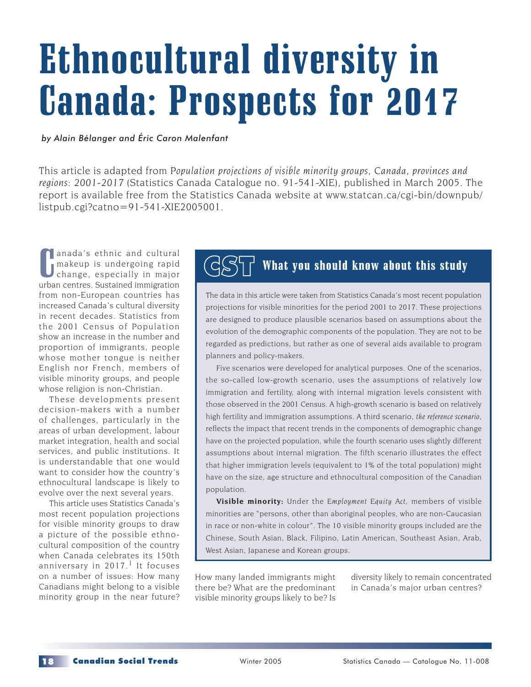# Ethnocultural diversity in Canada: Prospects for 2017

*by Alain Bélanger and Éric Caron Malenfant*

This article is adapted from *Population projections of visible minority groups, Canada, provinces and regions: 2001-2017* (Statistics Canada Catalogue no. 91-541-XIE), published in March 2005. The report is available free from the Statistics Canada website at www.statcan.ca/cgi-bin/downpub/ listpub.cgi?catno=91-541-XIE2005001.

**C** anada's ethnic and cultural<br>
makeup is undergoing rapid<br>
change, especially in major<br>
urban centres. Sustained immigration anada's ethnic and cultural makeup is undergoing rapid change, especially in major from non-European countries has increased Canada's cultural diversity in recent decades. Statistics from the 2001 Census of Population show an increase in the number and proportion of immigrants, people whose mother tongue is neither English nor French, members of visible minority groups, and people whose religion is non-Christian.

These developments present decision-makers with a number of challenges, particularly in the areas of urban development, labour market integration, health and social services, and public institutions. It is understandable that one would want to consider how the country's ethnocultural landscape is likely to evolve over the next several years.

This article uses Statistics Canada's most recent population projections for visible minority groups to draw a picture of the possible ethnocultural composition of the country when Canada celebrates its 150th anniversary in 2017.<sup>1</sup> It focuses on a number of issues: How many Canadians might belong to a visible minority group in the near future?

## What you should know about this study

The data in this article were taken from Statistics Canada's most recent population projections for visible minorities for the period 2001 to 2017. These projections are designed to produce plausible scenarios based on assumptions about the evolution of the demographic components of the population. They are not to be regarded as predictions, but rather as one of several aids available to program planners and policy-makers.

Five scenarios were developed for analytical purposes. One of the scenarios, the so-called low-growth scenario, uses the assumptions of relatively low immigration and fertility, along with internal migration levels consistent with those observed in the 2001 Census. A high-growth scenario is based on relatively high fertility and immigration assumptions. A third scenario, *the reference scenario*, reflects the impact that recent trends in the components of demographic change have on the projected population, while the fourth scenario uses slightly different assumptions about internal migration. The fifth scenario illustrates the effect that higher immigration levels (equivalent to 1% of the total population) might have on the size, age structure and ethnocultural composition of the Canadian population.

**Visible minority:** Under the *Employment Equity Act*, members of visible minorities are "persons, other than aboriginal peoples, who are non-Caucasian in race or non-white in colour". The 10 visible minority groups included are the Chinese, South Asian, Black, Filipino, Latin American, Southeast Asian, Arab, West Asian, Japanese and Korean groups.

How many landed immigrants might there be? What are the predominant visible minority groups likely to be? Is

diversity likely to remain concentrated in Canada's major urban centres?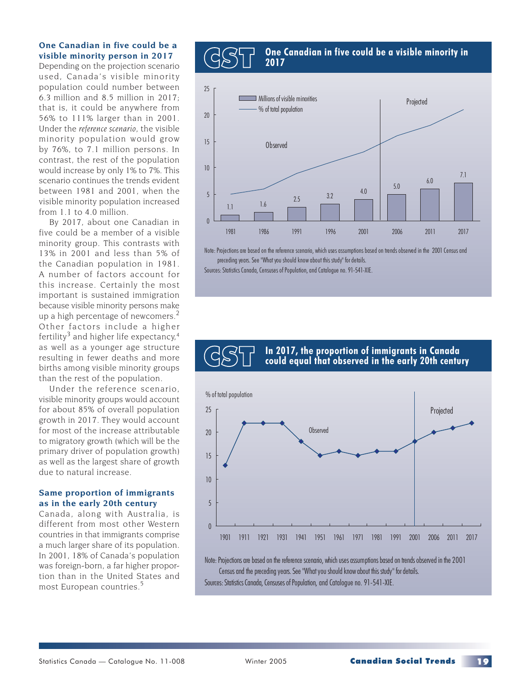### One Canadian in five could be a visible minority person in 2017

Depending on the projection scenario used, Canada's visible minority population could number between  $6.3$  million and  $8.5$  million in 2017: that is, it could be anywhere from 56% to 111% larger than in 2001. Under the reference scenario, the visible minority population would grow by 76%, to 7.1 million persons. In contrast, the rest of the population would increase by only 1% to 7%. This scenario continues the trends evident between 1981 and 2001, when the visible minority population increased from 1.1 to 4.0 million.

By 2017, about one Canadian in five could be a member of a visible minority group. This contrasts with 13% in 2001 and less than 5% of the Canadian population in 1981. A number of factors account for this increase. Certainly the most important is sustained immigration because visible minority persons make up a high percentage of newcomers. $<sup>2</sup>$ </sup> Other factors include a higher fertility<sup>3</sup> and higher life expectancy,<sup>4</sup> as well as a younger age structure resulting in fewer deaths and more births among visible minority groups than the rest of the population.

Under the reference scenario. visible minority groups would account for about 85% of overall population growth in 2017. They would account for most of the increase attributable to migratory growth (which will be the primary driver of population growth) as well as the largest share of growth due to natural increase.

### Same proportion of immigrants as in the early 20th century

Canada, along with Australia, is different from most other Western countries in that immigrants comprise a much larger share of its population. In 2001, 18% of Canada's population was foreign-born, a far higher proportion than in the United States and most European countries.<sup>5</sup>





Note: Projections are based on the reference scenario, which uses assumptions based on trends observed in the 2001 Census and preceding years. See "What you should know about this study" for details.

Sources: Statistics Canada, Censuses of Population, and Catalogue no. 91-541-XIE.



Note: Projections are based on the reference scenario, which uses assumptions based on trends observed in the 2001 Census and the preceding years. See "What you should know about this study" for details. Sources: Statistics Canada, Censuses of Population, and Catalogue no. 91-541-XIE.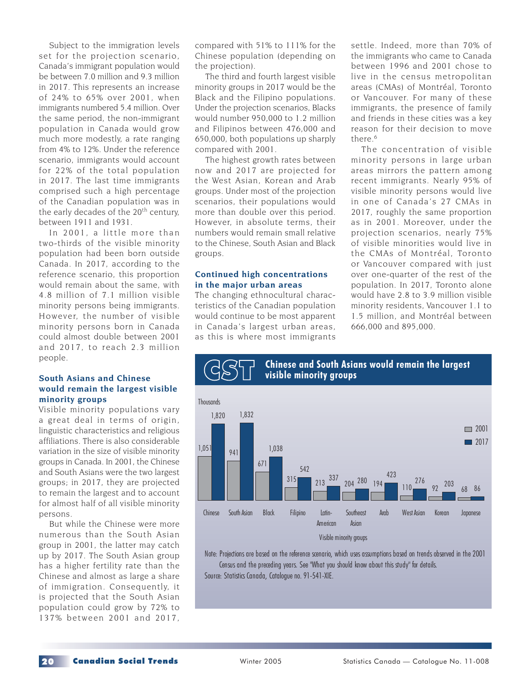Subject to the immigration levels set for the projection scenario, Canada's immigrant population would be between 7.0 million and 9.3 million in 2017. This represents an increase of 24% to 65% over 2001, when immigrants numbered 5.4 million. Over the same period, the non-immigrant population in Canada would grow much more modestly, a rate ranging from 4% to 12%. Under the reference scenario, immigrants would account for 22% of the total population in 2017. The last time immigrants comprised such a high percentage of the Canadian population was in the early decades of the  $20<sup>th</sup>$  century, between 1911 and 1931.

In 2001, a little more than two-thirds of the visible minority population had been born outside Canada. In 2017, according to the reference scenario, this proportion would remain about the same, with 4.8 million of 7.1 million visible minority persons being immigrants. However, the number of visible minority persons born in Canada could almost double between 2001 and 2017, to reach 2.3 million people.

#### **South Asians and Chinese would remain the largest visible minority groups**

Visible minority populations vary a great deal in terms of origin, linguistic characteristics and religious affiliations. There is also considerable variation in the size of visible minority groups in Canada. In 2001, the Chinese and South Asians were the two largest groups; in 2017, they are projected to remain the largest and to account for almost half of all visible minority persons.

But while the Chinese were more numerous than the South Asian group in 2001, the latter may catch up by 2017. The South Asian group has a higher fertility rate than the Chinese and almost as large a share of immigration. Consequently, it is projected that the South Asian population could grow by 72% to 137% between 2001 and 2017, compared with 51% to 111% for the Chinese population (depending on the projection).

The third and fourth largest visible minority groups in 2017 would be the Black and the Filipino populations. Under the projection scenarios, Blacks would number 950,000 to 1.2 million and Filipinos between 476,000 and 650,000, both populations up sharply compared with 2001.

The highest growth rates between now and 2017 are projected for the West Asian, Korean and Arab groups. Under most of the projection scenarios, their populations would more than double over this period. However, in absolute terms, their numbers would remain small relative to the Chinese, South Asian and Black groups.

#### **Continued high concentrations in the major urban areas**

The changing ethnocultural characteristics of the Canadian population would continue to be most apparent in Canada's largest urban areas, as this is where most immigrants

settle. Indeed, more than 70% of the immigrants who came to Canada between 1996 and 2001 chose to live in the census metropolitan areas (CMAs) of Montréal, Toronto or Vancouver. For many of these immigrants, the presence of family and friends in these cities was a key reason for their decision to move there.<sup>6</sup>

The concentration of visible minority persons in large urban areas mirrors the pattern among recent immigrants. Nearly 95% of visible minority persons would live in one of Canada's 27 CMAs in 2017, roughly the same proportion as in 2001. Moreover, under the projection scenarios, nearly 75% of visible minorities would live in the CMAs of Montréal, Toronto or Vancouver compared with just over one-quarter of the rest of the population. In 2017, Toronto alone would have 2.8 to 3.9 million visible minority residents, Vancouver 1.1 to 1.5 million, and Montréal between 666,000 and 895,000.





Note: Projections are based on the reference scenario, which uses assumptions based on trends observed in the 2001 Census and the preceding years. See "What you should know about this study" for details. Source: Statistics Canada, Catalogue no. 91-541-XIE.